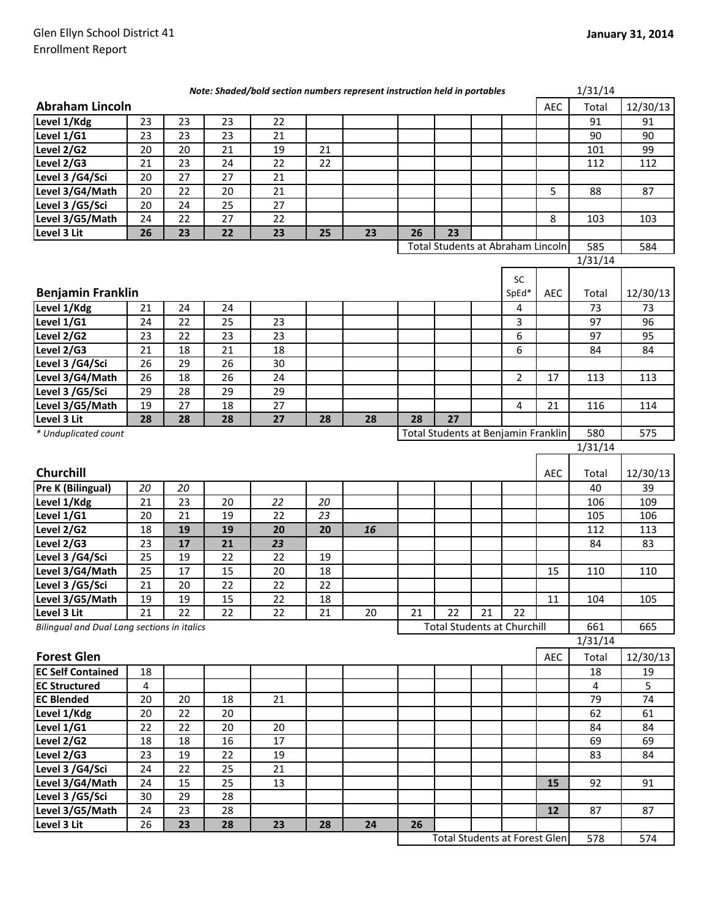| Note: Shaded/bold section numbers represent instruction held in portables |    |    |    |                 |        | 1/31/14 |    |                                      |    |                |            |         |          |
|---------------------------------------------------------------------------|----|----|----|-----------------|--------|---------|----|--------------------------------------|----|----------------|------------|---------|----------|
| <b>Abraham Lincoln</b>                                                    |    |    |    |                 |        |         |    |                                      |    |                | <b>AEC</b> | Total   | 12/30/13 |
| Level 1/Kdg                                                               | 23 | 23 | 23 | 22              |        |         |    |                                      |    |                |            | 91      | 91       |
| Level 1/G1                                                                | 23 | 23 | 23 | 21              |        |         |    |                                      |    |                |            | 90      | 90       |
| Level 2/G2                                                                | 20 | 20 | 21 | 19              | 21     |         |    |                                      |    |                |            | 101     | 99       |
| Level 2/G3                                                                | 21 | 23 | 24 | 22              | 22     |         |    |                                      |    |                |            | 112     | 112      |
| Level 3 /G4/Sci                                                           | 20 | 27 | 27 | 21              |        |         |    |                                      |    |                |            |         |          |
| Level 3/G4/Math                                                           | 20 | 22 | 20 | 21              |        |         |    |                                      |    |                | 5          | 88      | 87       |
| Level 3 /G5/Sci                                                           | 20 | 24 | 25 | 27              |        |         |    |                                      |    |                |            |         |          |
| Level 3/G5/Math                                                           | 24 | 22 | 27 | 22              |        |         |    |                                      |    |                | 8          | 103     | 103      |
| Level 3 Lit                                                               | 26 | 23 | 22 | 23              | 25     | 23      | 26 | 23                                   |    |                |            |         |          |
|                                                                           |    |    |    |                 |        |         |    | Total Students at Abraham Lincoln    |    |                |            | 585     | 584      |
|                                                                           |    |    |    |                 |        |         |    |                                      |    |                |            | 1/31/14 |          |
|                                                                           |    |    |    |                 |        |         |    |                                      |    | SC             |            |         |          |
| <b>Benjamin Franklin</b>                                                  |    |    |    |                 |        |         |    |                                      |    | SpEd*          | <b>AEC</b> | Total   | 12/30/13 |
| Level 1/Kdg                                                               | 21 | 24 | 24 |                 |        |         |    |                                      |    | $\overline{4}$ |            | 73      | 73       |
| Level 1/G1                                                                | 24 | 22 | 25 | 23              |        |         |    |                                      |    | 3              |            | 97      | 96       |
| Level 2/G2                                                                | 23 | 22 | 23 | 23              |        |         |    |                                      |    | 6              |            | 97      | 95       |
| Level 2/G3                                                                | 21 | 18 | 21 | 18              |        |         |    |                                      |    | 6              |            | 84      | 84       |
| Level 3 /G4/Sci                                                           | 26 | 29 | 26 | 30 <sub>o</sub> |        |         |    |                                      |    |                |            |         |          |
| Level 3/G4/Math                                                           | 26 | 18 | 26 | 24              |        |         |    |                                      |    | $\overline{2}$ | 17         | 113     | 113      |
| Level 3 /G5/Sci                                                           | 29 | 28 | 29 | 29              |        |         |    |                                      |    |                |            |         |          |
| Level 3/G5/Math                                                           | 19 | 27 | 18 | 27              |        |         |    |                                      |    | $\overline{4}$ | 21         | 116     | 114      |
| Level 3 Lit                                                               | 28 | 28 | 28 | 27              | 28     | 28      | 28 | 27                                   |    |                |            |         |          |
| * Unduplicated count                                                      |    |    |    |                 |        |         |    | Total Students at Benjamin Franklin  |    |                |            | 580     | 575      |
|                                                                           |    |    |    |                 |        |         |    |                                      |    |                |            | 1/31/14 |          |
|                                                                           |    |    |    |                 |        |         |    |                                      |    |                |            |         |          |
| Churchill                                                                 |    |    |    |                 |        |         |    |                                      |    |                | <b>AEC</b> | Total   | 12/30/13 |
| Pre K (Bilingual)                                                         | 20 | 20 |    |                 |        |         |    |                                      |    |                |            | 40      | 39       |
| Level 1/Kdg                                                               | 21 | 23 | 20 | 22              | 20     |         |    |                                      |    |                |            | 106     | 109      |
| Level 1/G1                                                                | 20 | 21 | 19 | 22              | 23     |         |    |                                      |    |                |            | 105     | 106      |
| Level 2/G2                                                                | 18 | 19 | 19 | 20              | 20     | 16      |    |                                      |    |                |            | 112     | 113      |
| Level 2/G3                                                                | 23 | 17 | 21 | 23              |        |         |    |                                      |    |                |            | 84      | 83       |
| Level 3 /G4/Sci                                                           | 25 | 19 | 22 | 22              | 19     |         |    |                                      |    |                |            |         |          |
| Level 3/G4/Math                                                           | 25 | 17 | 15 | 20              | 18     |         |    |                                      |    |                | 15         | 110     | 110      |
| Level 3 /G5/Sci                                                           | 21 | 20 | 22 | 22              | 22     |         |    |                                      |    |                |            |         |          |
| Level 3/G5/Math                                                           | 19 | 19 | 15 | 22              | $18\,$ |         |    |                                      |    |                | $11\,$     | 104     | 105      |
| Level 3 Lit                                                               | 21 | 22 | 22 | 22              | 21     | 20      | 21 | 22                                   | 21 | 22             |            |         |          |
| Bilingual and Dual Lang sections in italics                               |    |    |    |                 |        |         |    | <b>Total Students at Churchill</b>   |    |                |            | 661     | 665      |
|                                                                           |    |    |    |                 |        |         |    |                                      |    |                |            | 1/31/14 |          |
| <b>Forest Glen</b>                                                        |    |    |    |                 |        |         |    |                                      |    |                | AEC        | Total   | 12/30/13 |
| <b>EC Self Contained</b>                                                  | 18 |    |    |                 |        |         |    |                                      |    |                |            | 18      | 19       |
| <b>EC Structured</b>                                                      | 4  |    |    |                 |        |         |    |                                      |    |                |            | 4       | 5        |
| <b>EC Blended</b>                                                         | 20 | 20 | 18 | 21              |        |         |    |                                      |    |                |            | 79      | 74       |
| Level 1/Kdg                                                               | 20 | 22 | 20 |                 |        |         |    |                                      |    |                |            | 62      | 61       |
| Level 1/G1                                                                | 22 | 22 | 20 | 20              |        |         |    |                                      |    |                |            | 84      | 84       |
| Level 2/G2                                                                | 18 | 18 | 16 | 17              |        |         |    |                                      |    |                |            | 69      | 69       |
| Level 2/G3                                                                | 23 | 19 | 22 | 19              |        |         |    |                                      |    |                |            | 83      | 84       |
| Level 3 /G4/Sci                                                           | 24 | 22 | 25 | 21              |        |         |    |                                      |    |                |            |         |          |
| Level 3/G4/Math                                                           | 24 | 15 | 25 | 13              |        |         |    |                                      |    |                | 15         | 92      | 91       |
| Level 3 /G5/Sci                                                           | 30 | 29 | 28 |                 |        |         |    |                                      |    |                |            |         |          |
| Level 3/G5/Math                                                           | 24 | 23 | 28 |                 |        |         |    |                                      |    |                | 12         | 87      | 87       |
| Level 3 Lit                                                               | 26 | 23 | 28 | 23              | 28     | 24      | 26 |                                      |    |                |            |         |          |
|                                                                           |    |    |    |                 |        |         |    | <b>Total Students at Forest Glen</b> |    |                |            | 578     | 574      |